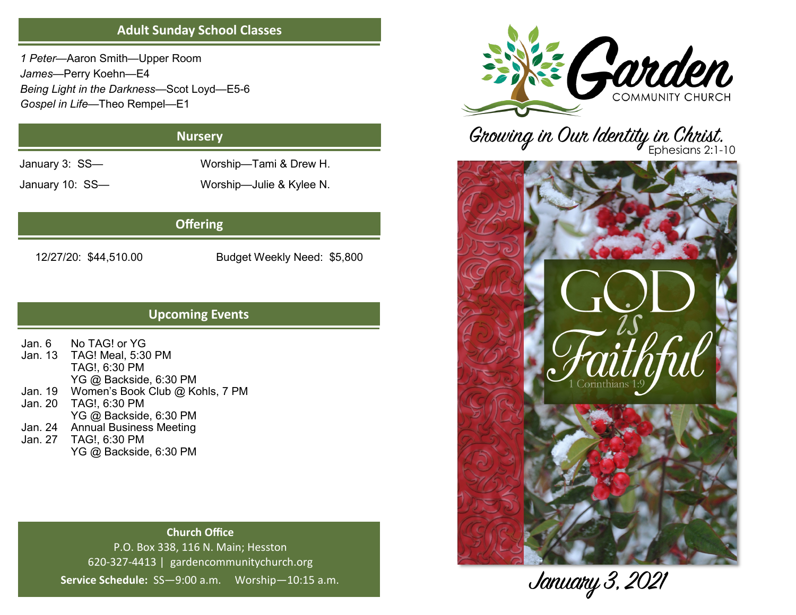## **Adult Sunday School Classes**

*1 Peter*—Aaron Smith—Upper Room *James*—Perry Koehn—E4 *Being Light in the Darkness*—Scot Loyd—E5-6 *Gospel in Life*—Theo Rempel—E1

# **Nursery**

January 3: SS— Worship—Tami & Drew H.

January 10: SS— Worship—Julie & Kylee N.

# **Offering**

12/27/20: \$44,510.00 Budget Weekly Need: \$5,800

# **Upcoming Events**

Jan. 6 No TAG! or YG Jan. 13 TAG! Meal, 5:30 PM TAG!, 6:30 PM YG @ Backside, 6:30 PM Jan. 19 Women's Book Club @ Kohls, 7 PM Jan. 20 TAG!, 6:30 PM YG @ Backside, 6:30 PM Jan. 24 Annual Business Meeting Jan. 27 TAG!, 6:30 PM YG @ Backside, 6:30 PM

# **Church Office** P.O. Box 338, 116 N. Main; Hesston 620-327-4413 | gardencommunitychurch.org **Service Schedule:** SS—9:00 a.m. Worship—10:15 a.m.



# Growing in Our Identity in Christ.



January 3, 2021